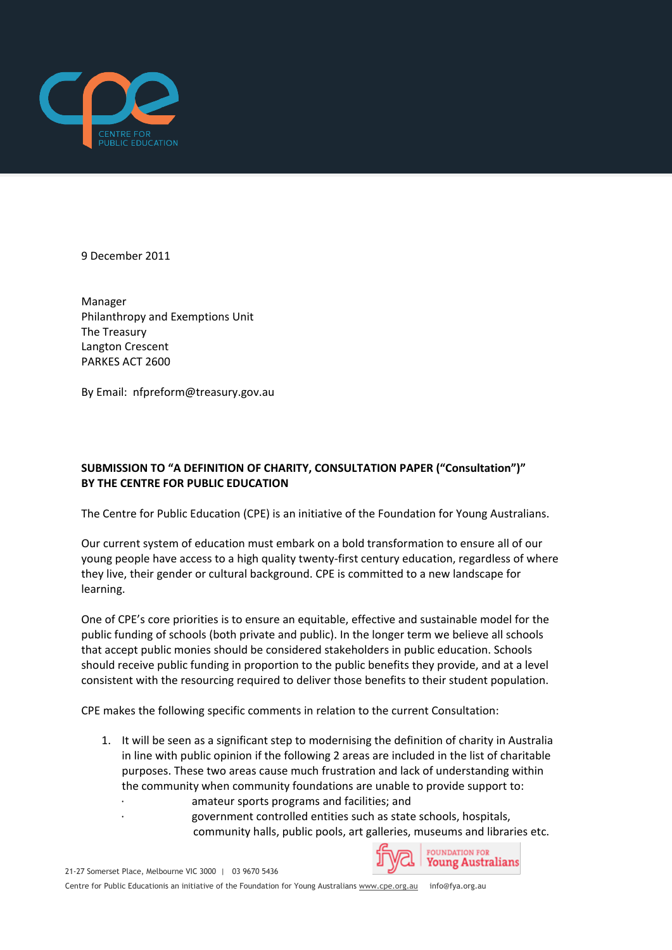

9 December 2011

Manager Philanthropy and Exemptions Unit The Treasury Langton Crescent PARKES ACT 2600

By Email: nfpreform@treasury.gov.au

## **SUBMISSION TO "A DEFINITION OF CHARITY, CONSULTATION PAPER ("Consultation")" BY THE CENTRE FOR PUBLIC EDUCATION**

The Centre for Public Education (CPE) is an initiative of the Foundation for Young Australians.

Our current system of education must embark on a bold transformation to ensure all of our young people have access to a high quality twenty-first century education, regardless of where they live, their gender or cultural background. CPE is committed to a new landscape for learning.

One of CPE's core priorities is to ensure an equitable, effective and sustainable model for the public funding of schools (both private and public). In the longer term we believe all schools that accept public monies should be considered stakeholders in public education. Schools should receive public funding in proportion to the public benefits they provide, and at a level consistent with the resourcing required to deliver those benefits to their student population.

CPE makes the following specific comments in relation to the current Consultation:

- 1. It will be seen as a significant step to modernising the definition of charity in Australia in line with public opinion if the following 2 areas are included in the list of charitable purposes. These two areas cause much frustration and lack of understanding within the community when community foundations are unable to provide support to:
	- · amateur sports programs and facilities; and
	- · government controlled entities such as state schools, hospitals, community halls, public pools, art galleries, museums and libraries etc.

OUNDATION FOR